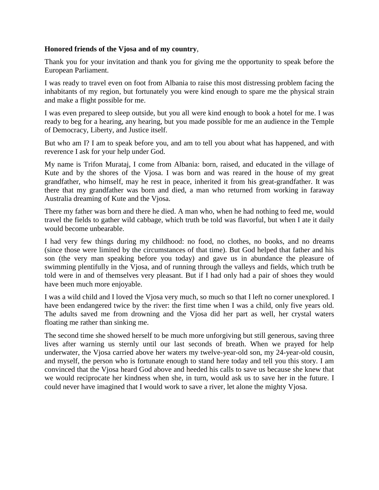## **Honored friends of the Vjosa and of my country**,

Thank you for your invitation and thank you for giving me the opportunity to speak before the European Parliament.

I was ready to travel even on foot from Albania to raise this most distressing problem facing the inhabitants of my region, but fortunately you were kind enough to spare me the physical strain and make a flight possible for me.

I was even prepared to sleep outside, but you all were kind enough to book a hotel for me. I was ready to beg for a hearing, any hearing, but you made possible for me an audience in the Temple of Democracy, Liberty, and Justice itself.

But who am I? I am to speak before you, and am to tell you about what has happened, and with reverence I ask for your help under God.

My name is Trifon Murataj, I come from Albania: born, raised, and educated in the village of Kute and by the shores of the Vjosa. I was born and was reared in the house of my great grandfather, who himself, may he rest in peace, inherited it from his great-grandfather. It was there that my grandfather was born and died, a man who returned from working in faraway Australia dreaming of Kute and the Vjosa.

There my father was born and there he died. A man who, when he had nothing to feed me, would travel the fields to gather wild cabbage, which truth be told was flavorful, but when I ate it daily would become unbearable.

I had very few things during my childhood: no food, no clothes, no books, and no dreams (since those were limited by the circumstances of that time). But God helped that father and his son (the very man speaking before you today) and gave us in abundance the pleasure of swimming plentifully in the Vjosa, and of running through the valleys and fields, which truth be told were in and of themselves very pleasant. But if I had only had a pair of shoes they would have been much more enjoyable.

I was a wild child and I loved the Vjosa very much, so much so that I left no corner unexplored. I have been endangered twice by the river: the first time when I was a child, only five years old. The adults saved me from drowning and the Vjosa did her part as well, her crystal waters floating me rather than sinking me.

The second time she showed herself to be much more unforgiving but still generous, saving three lives after warning us sternly until our last seconds of breath. When we prayed for help underwater, the Vjosa carried above her waters my twelve-year-old son, my 24-year-old cousin, and myself, the person who is fortunate enough to stand here today and tell you this story. I am convinced that the Vjosa heard God above and heeded his calls to save us because she knew that we would reciprocate her kindness when she, in turn, would ask us to save her in the future. I could never have imagined that I would work to save a river, let alone the mighty Vjosa.